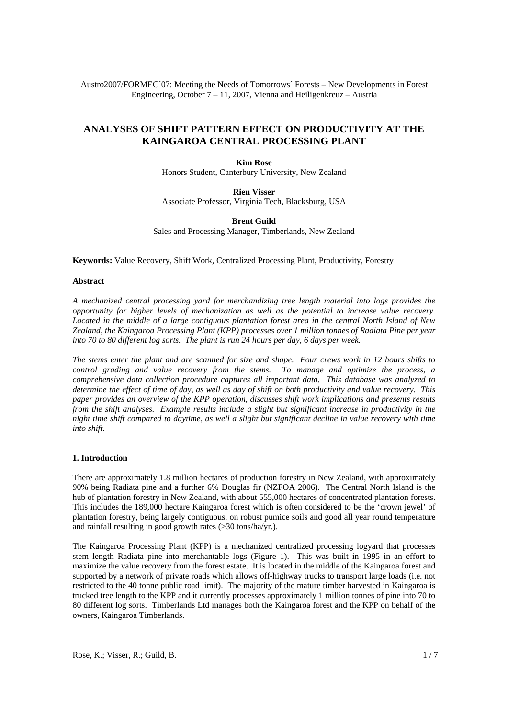Austro2007/FORMEC´07: Meeting the Needs of Tomorrows´ Forests – New Developments in Forest Engineering, October 7 – 11, 2007, Vienna and Heiligenkreuz – Austria

# **ANALYSES OF SHIFT PATTERN EFFECT ON PRODUCTIVITY AT THE KAINGAROA CENTRAL PROCESSING PLANT**

**Kim Rose** Honors Student, Canterbury University, New Zealand

**Rien Visser** Associate Professor, Virginia Tech, Blacksburg, USA

**Brent Guild**

Sales and Processing Manager, Timberlands, New Zealand

**Keywords:** Value Recovery, Shift Work, Centralized Processing Plant, Productivity, Forestry

### **Abstract**

*A mechanized central processing yard for merchandizing tree length material into logs provides the opportunity for higher levels of mechanization as well as the potential to increase value recovery. Located in the middle of a large contiguous plantation forest area in the central North Island of New Zealand, the Kaingaroa Processing Plant (KPP) processes over 1 million tonnes of Radiata Pine per year into 70 to 80 different log sorts. The plant is run 24 hours per day, 6 days per week.* 

*The stems enter the plant and are scanned for size and shape. Four crews work in 12 hours shifts to control grading and value recovery from the stems. To manage and optimize the process, a comprehensive data collection procedure captures all important data. This database was analyzed to determine the effect of time of day, as well as day of shift on both productivity and value recovery. This paper provides an overview of the KPP operation, discusses shift work implications and presents results from the shift analyses. Example results include a slight but significant increase in productivity in the night time shift compared to daytime, as well a slight but significant decline in value recovery with time into shift.* 

#### **1. Introduction**

There are approximately 1.8 million hectares of production forestry in New Zealand, with approximately 90% being Radiata pine and a further 6% Douglas fir (NZFOA 2006). The Central North Island is the hub of plantation forestry in New Zealand, with about 555,000 hectares of concentrated plantation forests. This includes the 189,000 hectare Kaingaroa forest which is often considered to be the 'crown jewel' of plantation forestry, being largely contiguous, on robust pumice soils and good all year round temperature and rainfall resulting in good growth rates (>30 tons/ha/yr.).

The Kaingaroa Processing Plant (KPP) is a mechanized centralized processing logyard that processes stem length Radiata pine into merchantable logs (Figure 1). This was built in 1995 in an effort to maximize the value recovery from the forest estate. It is located in the middle of the Kaingaroa forest and supported by a network of private roads which allows off-highway trucks to transport large loads (i.e. not restricted to the 40 tonne public road limit). The majority of the mature timber harvested in Kaingaroa is trucked tree length to the KPP and it currently processes approximately 1 million tonnes of pine into 70 to 80 different log sorts. Timberlands Ltd manages both the Kaingaroa forest and the KPP on behalf of the owners, Kaingaroa Timberlands.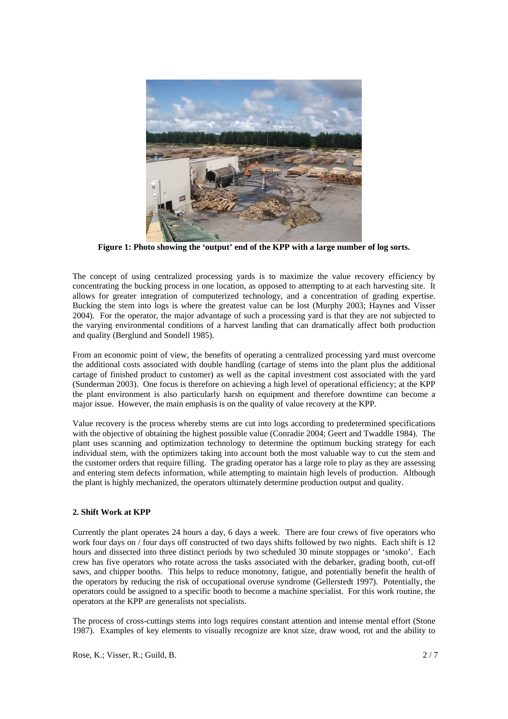

**Figure 1: Photo showing the 'output' end of the KPP with a large number of log sorts.** 

The concept of using centralized processing yards is to maximize the value recovery efficiency by concentrating the bucking process in one location, as opposed to attempting to at each harvesting site. It allows for greater integration of computerized technology, and a concentration of grading expertise. Bucking the stem into logs is where the greatest value can be lost (Murphy 2003; Haynes and Visser 2004). For the operator, the major advantage of such a processing yard is that they are not subjected to the varying environmental conditions of a harvest landing that can dramatically affect both production and quality (Berglund and Sondell 1985).

From an economic point of view, the benefits of operating a centralized processing yard must overcome the additional costs associated with double handling (cartage of stems into the plant plus the additional cartage of finished product to customer) as well as the capital investment cost associated with the yard (Sunderman 2003). One focus is therefore on achieving a high level of operational efficiency; at the KPP the plant environment is also particularly harsh on equipment and therefore downtime can become a major issue. However, the main emphasis is on the quality of value recovery at the KPP.

Value recovery is the process whereby stems are cut into logs according to predetermined specifications with the objective of obtaining the highest possible value (Conradie 2004; Geert and Twaddle 1984). The plant uses scanning and optimization technology to determine the optimum bucking strategy for each individual stem, with the optimizers taking into account both the most valuable way to cut the stem and the customer orders that require filling. The grading operator has a large role to play as they are assessing and entering stem defects information, while attempting to maintain high levels of production. Although the plant is highly mechanized, the operators ultimately determine production output and quality.

## **2. Shift Work at KPP**

Currently the plant operates 24 hours a day, 6 days a week. There are four crews of five operators who work four days on / four days off constructed of two days shifts followed by two nights. Each shift is 12 hours and dissected into three distinct periods by two scheduled 30 minute stoppages or 'smoko'. Each crew has five operators who rotate across the tasks associated with the debarker, grading booth, cut-off saws, and chipper booths. This helps to reduce monotony, fatigue, and potentially benefit the health of the operators by reducing the risk of occupational overuse syndrome (Gellerstedt 1997). Potentially, the operators could be assigned to a specific booth to become a machine specialist. For this work routine, the operators at the KPP are generalists not specialists.

The process of cross-cuttings stems into logs requires constant attention and intense mental effort (Stone 1987). Examples of key elements to visually recognize are knot size, draw wood, rot and the ability to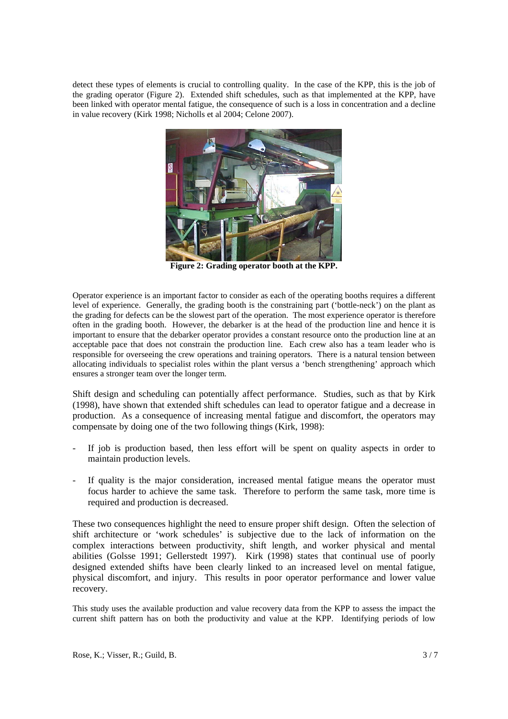detect these types of elements is crucial to controlling quality. In the case of the KPP, this is the job of the grading operator (Figure 2). Extended shift schedules, such as that implemented at the KPP, have been linked with operator mental fatigue, the consequence of such is a loss in concentration and a decline in value recovery (Kirk 1998; Nicholls et al 2004; Celone 2007).



**Figure 2: Grading operator booth at the KPP.** 

Operator experience is an important factor to consider as each of the operating booths requires a different level of experience. Generally, the grading booth is the constraining part ('bottle-neck') on the plant as the grading for defects can be the slowest part of the operation. The most experience operator is therefore often in the grading booth. However, the debarker is at the head of the production line and hence it is important to ensure that the debarker operator provides a constant resource onto the production line at an acceptable pace that does not constrain the production line. Each crew also has a team leader who is responsible for overseeing the crew operations and training operators. There is a natural tension between allocating individuals to specialist roles within the plant versus a 'bench strengthening' approach which ensures a stronger team over the longer term.

Shift design and scheduling can potentially affect performance. Studies, such as that by Kirk (1998), have shown that extended shift schedules can lead to operator fatigue and a decrease in production. As a consequence of increasing mental fatigue and discomfort, the operators may compensate by doing one of the two following things (Kirk, 1998):

- If job is production based, then less effort will be spent on quality aspects in order to maintain production levels.
- If quality is the major consideration, increased mental fatigue means the operator must focus harder to achieve the same task. Therefore to perform the same task, more time is required and production is decreased.

These two consequences highlight the need to ensure proper shift design. Often the selection of shift architecture or 'work schedules' is subjective due to the lack of information on the complex interactions between productivity, shift length, and worker physical and mental abilities (Golsse 1991; Gellerstedt 1997). Kirk (1998) states that continual use of poorly designed extended shifts have been clearly linked to an increased level on mental fatigue, physical discomfort, and injury. This results in poor operator performance and lower value recovery.

This study uses the available production and value recovery data from the KPP to assess the impact the current shift pattern has on both the productivity and value at the KPP. Identifying periods of low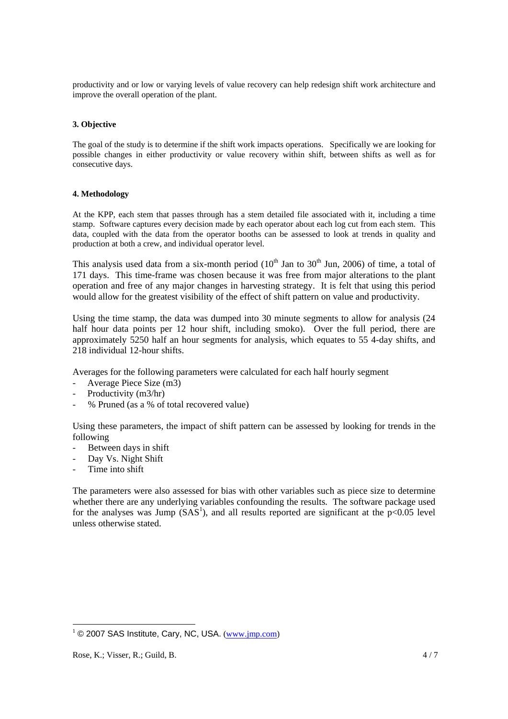productivity and or low or varying levels of value recovery can help redesign shift work architecture and improve the overall operation of the plant.

## **3. Objective**

The goal of the study is to determine if the shift work impacts operations. Specifically we are looking for possible changes in either productivity or value recovery within shift, between shifts as well as for consecutive days.

#### **4. Methodology**

At the KPP, each stem that passes through has a stem detailed file associated with it, including a time stamp. Software captures every decision made by each operator about each log cut from each stem. This data, coupled with the data from the operator booths can be assessed to look at trends in quality and production at both a crew, and individual operator level.

This analysis used data from a six-month period  $(10<sup>th</sup>$  Jan to  $30<sup>th</sup>$  Jun, 2006) of time, a total of 171 days. This time-frame was chosen because it was free from major alterations to the plant operation and free of any major changes in harvesting strategy. It is felt that using this period would allow for the greatest visibility of the effect of shift pattern on value and productivity.

Using the time stamp, the data was dumped into 30 minute segments to allow for analysis (24 half hour data points per 12 hour shift, including smoko). Over the full period, there are approximately 5250 half an hour segments for analysis, which equates to 55 4-day shifts, and 218 individual 12-hour shifts.

Averages for the following parameters were calculated for each half hourly segment

- Average Piece Size (m3)
- Productivity (m3/hr)
- % Pruned (as a % of total recovered value)

Using these parameters, the impact of shift pattern can be assessed by looking for trends in the following

- Between days in shift
- Day Vs. Night Shift
- Time into shift

The parameters were also assessed for bias with other variables such as piece size to determine whether there are any underlying variables confounding the results. The software package used for the analyses was Jump  $(SAS<sup>1</sup>)$ , and all results reported are significant at the  $p<0.05$  level unless otherwise stated.

1

 $1 \odot 2007$  SAS Institute, Cary, NC, USA.  $(\underline{www.imp.com})$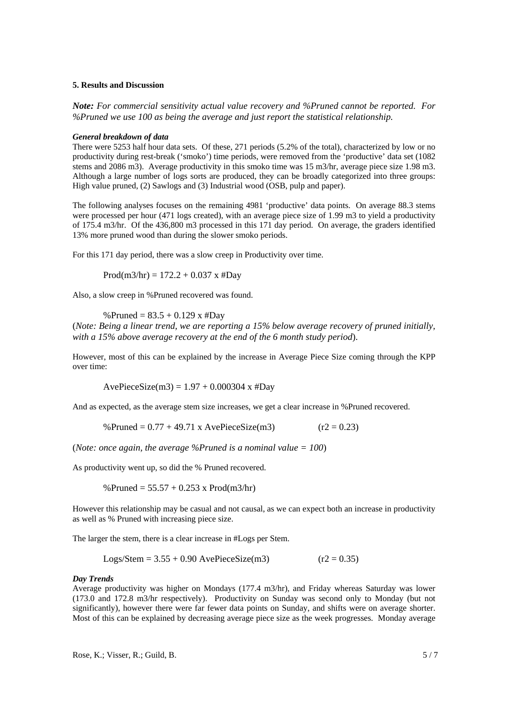## **5. Results and Discussion**

*Note: For commercial sensitivity actual value recovery and %Pruned cannot be reported. For %Pruned we use 100 as being the average and just report the statistical relationship.* 

#### *General breakdown of data*

There were 5253 half hour data sets. Of these, 271 periods (5.2% of the total), characterized by low or no productivity during rest-break ('smoko') time periods, were removed from the 'productive' data set (1082 stems and 2086 m3). Average productivity in this smoko time was 15 m3/hr, average piece size 1.98 m3. Although a large number of logs sorts are produced, they can be broadly categorized into three groups: High value pruned, (2) Sawlogs and (3) Industrial wood (OSB, pulp and paper).

The following analyses focuses on the remaining 4981 'productive' data points. On average 88.3 stems were processed per hour (471 logs created), with an average piece size of 1.99 m3 to yield a productivity of 175.4 m3/hr. Of the 436,800 m3 processed in this 171 day period. On average, the graders identified 13% more pruned wood than during the slower smoko periods.

For this 171 day period, there was a slow creep in Productivity over time.

Prod(m3/hr) =  $172.2 + 0.037$  x #Day

Also, a slow creep in %Pruned recovered was found.

#### %Pruned =  $83.5 + 0.129$  x #Day

(*Note: Being a linear trend, we are reporting a 15% below average recovery of pruned initially, with a 15% above average recovery at the end of the 6 month study period*).

However, most of this can be explained by the increase in Average Piece Size coming through the KPP over time:

AvePieceSize(m3) =  $1.97 + 0.000304$  x #Day

And as expected, as the average stem size increases, we get a clear increase in %Pruned recovered.

%Pruned = 
$$
0.77 + 49.71
$$
 x AvePieceSize(m3) (r2 = 0.23)

(*Note: once again, the average %Pruned is a nominal value = 100*)

As productivity went up, so did the % Pruned recovered.

%Pruned = 
$$
55.57 + 0.253 \times \text{Prod}(m3/hr)
$$

However this relationship may be casual and not causal, as we can expect both an increase in productivity as well as % Pruned with increasing piece size.

The larger the stem, there is a clear increase in #Logs per Stem.

Logs/Stem =  $3.55 + 0.90$  AvePieceSize(m3) (r2 = 0.35)

#### *Day Trends*

Average productivity was higher on Mondays (177.4 m3/hr), and Friday whereas Saturday was lower (173.0 and 172.8 m3/hr respectively). Productivity on Sunday was second only to Monday (but not significantly), however there were far fewer data points on Sunday, and shifts were on average shorter. Most of this can be explained by decreasing average piece size as the week progresses. Monday average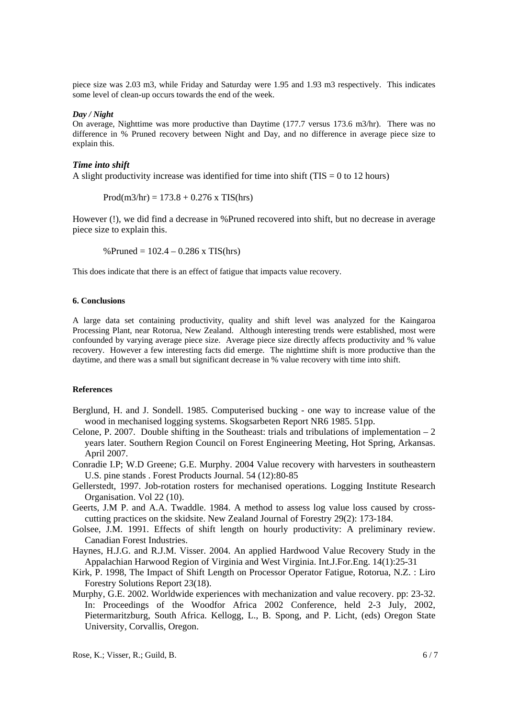piece size was 2.03 m3, while Friday and Saturday were 1.95 and 1.93 m3 respectively. This indicates some level of clean-up occurs towards the end of the week.

#### *Day / Night*

On average, Nighttime was more productive than Daytime (177.7 versus 173.6 m3/hr). There was no difference in % Pruned recovery between Night and Day, and no difference in average piece size to explain this.

### *Time into shift*

A slight productivity increase was identified for time into shift ( $TIS = 0$  to 12 hours)

 $Prod(m3/hr) = 173.8 + 0.276$  x TIS(hrs)

However (!), we did find a decrease in %Pruned recovered into shift, but no decrease in average piece size to explain this.

% Pruned =  $102.4 - 0.286$  x TIS(hrs)

This does indicate that there is an effect of fatigue that impacts value recovery.

#### **6. Conclusions**

A large data set containing productivity, quality and shift level was analyzed for the Kaingaroa Processing Plant, near Rotorua, New Zealand. Although interesting trends were established, most were confounded by varying average piece size. Average piece size directly affects productivity and % value recovery. However a few interesting facts did emerge. The nighttime shift is more productive than the daytime, and there was a small but significant decrease in % value recovery with time into shift.

### **References**

- Berglund, H. and J. Sondell. 1985. Computerised bucking one way to increase value of the wood in mechanised logging systems. Skogsarbeten Report NR6 1985. 51pp.
- Celone, P. 2007. Double shifting in the Southeast: trials and tribulations of implementation  $-2$ years later. Southern Region Council on Forest Engineering Meeting, Hot Spring, Arkansas. April 2007.
- Conradie I.P; W.D Greene; G.E. Murphy. 2004 Value recovery with harvesters in southeastern U.S. pine stands . Forest Products Journal. 54 (12):80-85
- Gellerstedt, 1997. Job-rotation rosters for mechanised operations. Logging Institute Research Organisation. Vol 22 (10).
- Geerts, J.M P. and A.A. Twaddle. 1984. A method to assess log value loss caused by crosscutting practices on the skidsite. New Zealand Journal of Forestry 29(2): 173-184.
- Golsee, J.M. 1991. Effects of shift length on hourly productivity: A preliminary review. Canadian Forest Industries.
- Haynes, H.J.G. and R.J.M. Visser. 2004. An applied Hardwood Value Recovery Study in the Appalachian Harwood Region of Virginia and West Virginia. Int.J.For.Eng. 14(1):25-31
- Kirk, P. 1998, The Impact of Shift Length on Processor Operator Fatigue, Rotorua, N.Z. : Liro Forestry Solutions Report 23(18).
- Murphy, G.E. 2002. Worldwide experiences with mechanization and value recovery. pp: 23-32. In: Proceedings of the Woodfor Africa 2002 Conference, held 2-3 July, 2002, Pietermaritzburg, South Africa. Kellogg, L., B. Spong, and P. Licht, (eds) Oregon State University, Corvallis, Oregon.